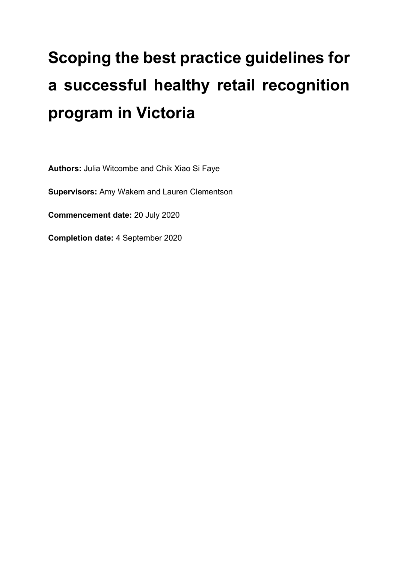# **Scoping the best practice guidelines for a successful healthy retail recognition program in Victoria**

**Authors:** Julia Witcombe and Chik Xiao Si Faye

**Supervisors:** Amy Wakem and Lauren Clementson

**Commencement date:** 20 July 2020

**Completion date:** 4 September 2020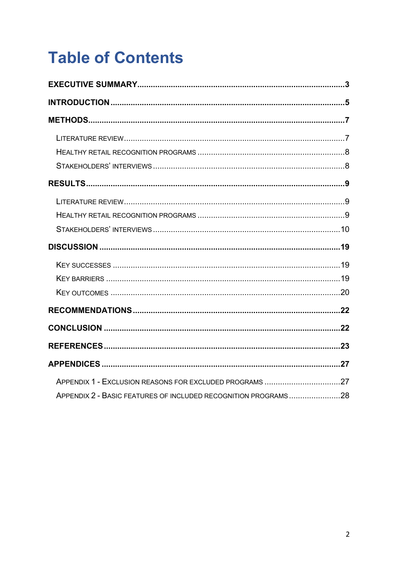# **Table of Contents**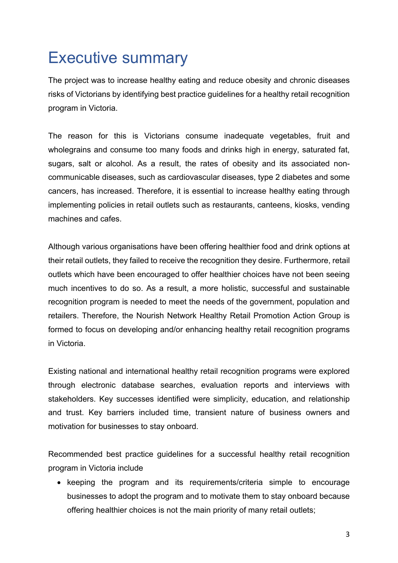### Executive summary

The project was to increase healthy eating and reduce obesity and chronic diseases risks of Victorians by identifying best practice guidelines for a healthy retail recognition program in Victoria.

The reason for this is Victorians consume inadequate vegetables, fruit and wholegrains and consume too many foods and drinks high in energy, saturated fat, sugars, salt or alcohol. As a result, the rates of obesity and its associated noncommunicable diseases, such as cardiovascular diseases, type 2 diabetes and some cancers, has increased. Therefore, it is essential to increase healthy eating through implementing policies in retail outlets such as restaurants, canteens, kiosks, vending machines and cafes.

Although various organisations have been offering healthier food and drink options at their retail outlets, they failed to receive the recognition they desire. Furthermore, retail outlets which have been encouraged to offer healthier choices have not been seeing much incentives to do so. As a result, a more holistic, successful and sustainable recognition program is needed to meet the needs of the government, population and retailers. Therefore, the Nourish Network Healthy Retail Promotion Action Group is formed to focus on developing and/or enhancing healthy retail recognition programs in Victoria.

Existing national and international healthy retail recognition programs were explored through electronic database searches, evaluation reports and interviews with stakeholders. Key successes identified were simplicity, education, and relationship and trust. Key barriers included time, transient nature of business owners and motivation for businesses to stay onboard.

Recommended best practice guidelines for a successful healthy retail recognition program in Victoria include

• keeping the program and its requirements/criteria simple to encourage businesses to adopt the program and to motivate them to stay onboard because offering healthier choices is not the main priority of many retail outlets;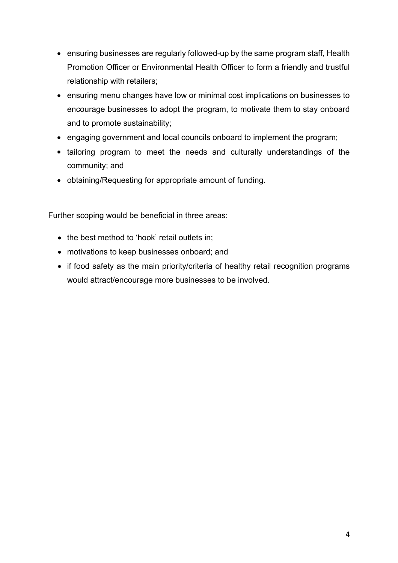- ensuring businesses are regularly followed-up by the same program staff, Health Promotion Officer or Environmental Health Officer to form a friendly and trustful relationship with retailers;
- ensuring menu changes have low or minimal cost implications on businesses to encourage businesses to adopt the program, to motivate them to stay onboard and to promote sustainability;
- engaging government and local councils onboard to implement the program;
- tailoring program to meet the needs and culturally understandings of the community; and
- obtaining/Requesting for appropriate amount of funding.

Further scoping would be beneficial in three areas:

- the best method to 'hook' retail outlets in;
- motivations to keep businesses onboard; and
- if food safety as the main priority/criteria of healthy retail recognition programs would attract/encourage more businesses to be involved.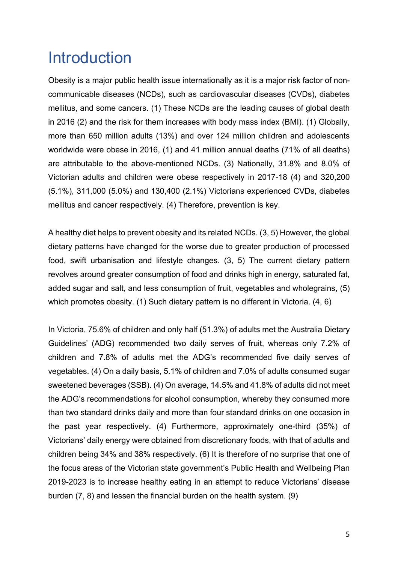### Introduction

Obesity is a major public health issue internationally as it is a major risk factor of noncommunicable diseases (NCDs), such as cardiovascular diseases (CVDs), diabetes mellitus, and some cancers. (1) These NCDs are the leading causes of global death in 2016 (2) and the risk for them increases with body mass index (BMI). (1) Globally, more than 650 million adults (13%) and over 124 million children and adolescents worldwide were obese in 2016, (1) and 41 million annual deaths (71% of all deaths) are attributable to the above-mentioned NCDs. (3) Nationally, 31.8% and 8.0% of Victorian adults and children were obese respectively in 2017-18 (4) and 320,200 (5.1%), 311,000 (5.0%) and 130,400 (2.1%) Victorians experienced CVDs, diabetes mellitus and cancer respectively. (4) Therefore, prevention is key.

A healthy diet helps to prevent obesity and its related NCDs. (3, 5) However, the global dietary patterns have changed for the worse due to greater production of processed food, swift urbanisation and lifestyle changes. (3, 5) The current dietary pattern revolves around greater consumption of food and drinks high in energy, saturated fat, added sugar and salt, and less consumption of fruit, vegetables and wholegrains, (5) which promotes obesity. (1) Such dietary pattern is no different in Victoria. (4, 6)

In Victoria, 75.6% of children and only half (51.3%) of adults met the Australia Dietary Guidelines' (ADG) recommended two daily serves of fruit, whereas only 7.2% of children and 7.8% of adults met the ADG's recommended five daily serves of vegetables. (4) On a daily basis, 5.1% of children and 7.0% of adults consumed sugar sweetened beverages (SSB). (4) On average, 14.5% and 41.8% of adults did not meet the ADG's recommendations for alcohol consumption, whereby they consumed more than two standard drinks daily and more than four standard drinks on one occasion in the past year respectively. (4) Furthermore, approximately one-third (35%) of Victorians' daily energy were obtained from discretionary foods, with that of adults and children being 34% and 38% respectively. (6) It is therefore of no surprise that one of the focus areas of the Victorian state government's Public Health and Wellbeing Plan 2019-2023 is to increase healthy eating in an attempt to reduce Victorians' disease burden (7, 8) and lessen the financial burden on the health system. (9)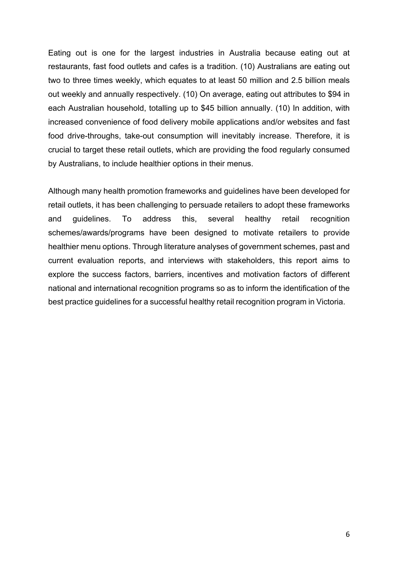Eating out is one for the largest industries in Australia because eating out at restaurants, fast food outlets and cafes is a tradition. (10) Australians are eating out two to three times weekly, which equates to at least 50 million and 2.5 billion meals out weekly and annually respectively. (10) On average, eating out attributes to \$94 in each Australian household, totalling up to \$45 billion annually. (10) In addition, with increased convenience of food delivery mobile applications and/or websites and fast food drive-throughs, take-out consumption will inevitably increase. Therefore, it is crucial to target these retail outlets, which are providing the food regularly consumed by Australians, to include healthier options in their menus.

Although many health promotion frameworks and guidelines have been developed for retail outlets, it has been challenging to persuade retailers to adopt these frameworks and guidelines. To address this, several healthy retail recognition schemes/awards/programs have been designed to motivate retailers to provide healthier menu options. Through literature analyses of government schemes, past and current evaluation reports, and interviews with stakeholders, this report aims to explore the success factors, barriers, incentives and motivation factors of different national and international recognition programs so as to inform the identification of the best practice guidelines for a successful healthy retail recognition program in Victoria.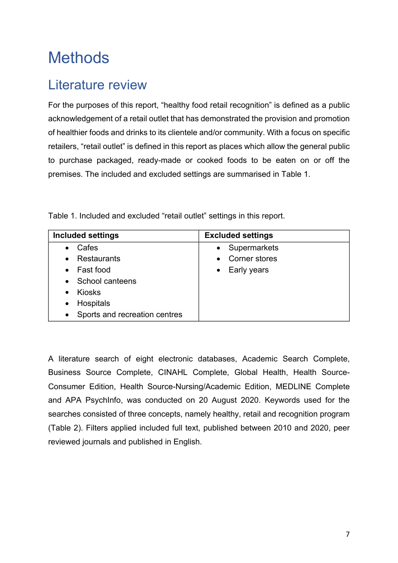## **Methods**

#### Literature review

For the purposes of this report, "healthy food retail recognition" is defined as a public acknowledgement of a retail outlet that has demonstrated the provision and promotion of healthier foods and drinks to its clientele and/or community. With a focus on specific retailers, "retail outlet" is defined in this report as places which allow the general public to purchase packaged, ready-made or cooked foods to be eaten on or off the premises. The included and excluded settings are summarised in Table 1.

Table 1. Included and excluded "retail outlet" settings in this report.

| <b>Included settings</b>                   | <b>Excluded settings</b> |
|--------------------------------------------|--------------------------|
| Cafes<br>$\bullet$                         | Supermarkets             |
| • Restaurants                              | Corner stores            |
| Fast food<br>$\bullet$                     | Early years<br>$\bullet$ |
| • School canteens                          |                          |
| <b>Kiosks</b><br>$\bullet$                 |                          |
| Hospitals<br>$\bullet$                     |                          |
| Sports and recreation centres<br>$\bullet$ |                          |

A literature search of eight electronic databases, Academic Search Complete, Business Source Complete, CINAHL Complete, Global Health, Health Source-Consumer Edition, Health Source-Nursing/Academic Edition, MEDLINE Complete and APA PsychInfo, was conducted on 20 August 2020. Keywords used for the searches consisted of three concepts, namely healthy, retail and recognition program (Table 2). Filters applied included full text, published between 2010 and 2020, peer reviewed journals and published in English.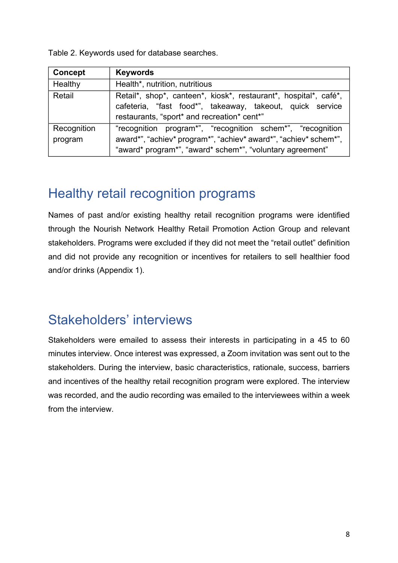Table 2. Keywords used for database searches.

| Concept                | <b>Keywords</b>                                                                                                                                                                             |
|------------------------|---------------------------------------------------------------------------------------------------------------------------------------------------------------------------------------------|
| Healthy                | Health*, nutrition, nutritious                                                                                                                                                              |
| Retail                 | Retail*, shop*, canteen*, kiosk*, restaurant*, hospital*, café*,<br>cafeteria, "fast food*", takeaway, takeout, quick service<br>restaurants, "sport* and recreation* cent*"                |
| Recognition<br>program | "recognition program*", "recognition schem*", "recognition<br>award*", "achiev* program*", "achiev* award*", "achiev* schem*",<br>"award* program*", "award* schem*", "voluntary agreement" |

#### Healthy retail recognition programs

Names of past and/or existing healthy retail recognition programs were identified through the Nourish Network Healthy Retail Promotion Action Group and relevant stakeholders. Programs were excluded if they did not meet the "retail outlet" definition and did not provide any recognition or incentives for retailers to sell healthier food and/or drinks (Appendix 1).

#### Stakeholders' interviews

Stakeholders were emailed to assess their interests in participating in a 45 to 60 minutes interview. Once interest was expressed, a Zoom invitation was sent out to the stakeholders. During the interview, basic characteristics, rationale, success, barriers and incentives of the healthy retail recognition program were explored. The interview was recorded, and the audio recording was emailed to the interviewees within a week from the interview.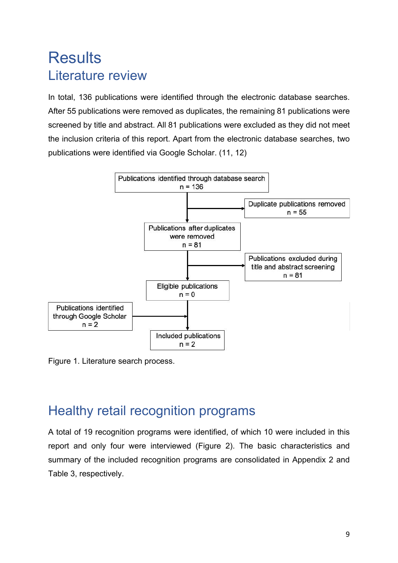### **Results** Literature review

In total, 136 publications were identified through the electronic database searches. After 55 publications were removed as duplicates, the remaining 81 publications were screened by title and abstract. All 81 publications were excluded as they did not meet the inclusion criteria of this report. Apart from the electronic database searches, two publications were identified via Google Scholar. (11, 12)



Figure 1. Literature search process.

#### Healthy retail recognition programs

A total of 19 recognition programs were identified, of which 10 were included in this report and only four were interviewed (Figure 2). The basic characteristics and summary of the included recognition programs are consolidated in Appendix 2 and Table 3, respectively.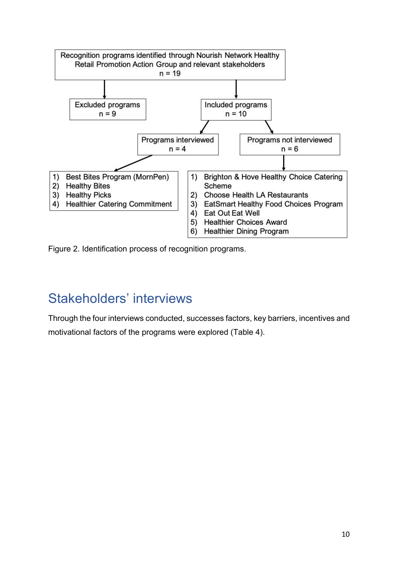

Figure 2. Identification process of recognition programs.

#### Stakeholders' interviews

Through the four interviews conducted, successes factors, key barriers, incentives and motivational factors of the programs were explored (Table 4).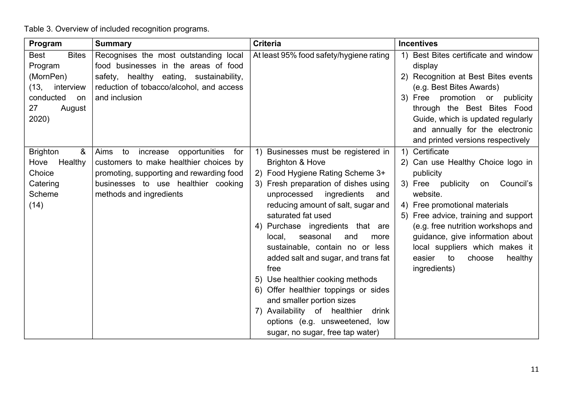Table 3. Overview of included recognition programs.

| Program                     | <b>Summary</b>                                 | <b>Criteria</b>                         | <b>Incentives</b>                       |
|-----------------------------|------------------------------------------------|-----------------------------------------|-----------------------------------------|
| <b>Bites</b><br><b>Best</b> | Recognises the most outstanding local          | At least 95% food safety/hygiene rating | Best Bites certificate and window<br>1) |
| Program                     | food businesses in the areas of food           |                                         | display                                 |
| (MornPen)                   | safety, healthy eating, sustainability,        |                                         | 2) Recognition at Best Bites events     |
| (13,<br>interview           | reduction of tobacco/alcohol, and access       |                                         | (e.g. Best Bites Awards)                |
| conducted<br>on             | and inclusion                                  |                                         | 3) Free promotion or publicity          |
| 27<br>August                |                                                |                                         | through the Best Bites Food             |
| 2020)                       |                                                |                                         | Guide, which is updated regularly       |
|                             |                                                |                                         | and annually for the electronic         |
|                             |                                                |                                         | and printed versions respectively       |
| &<br><b>Brighton</b>        | opportunities<br>Aims<br>to<br>increase<br>for | Businesses must be registered in<br>1)  | 1) Certificate                          |
| Healthy<br>Hove             | customers to make healthier choices by         | <b>Brighton &amp; Hove</b>              | 2) Can use Healthy Choice logo in       |
| Choice                      | promoting, supporting and rewarding food       | 2) Food Hygiene Rating Scheme 3+        | publicity                               |
| Catering                    | businesses to use healthier cooking            | 3) Fresh preparation of dishes using    | 3) Free publicity<br>Council's<br>on    |
| Scheme                      | methods and ingredients                        | unprocessed<br>ingredients<br>and       | website.                                |
| (14)                        |                                                | reducing amount of salt, sugar and      | 4) Free promotional materials           |
|                             |                                                | saturated fat used                      | Free advice, training and support<br>5) |
|                             |                                                | 4) Purchase ingredients that are        | (e.g. free nutrition workshops and      |
|                             |                                                | seasonal<br>local,<br>and<br>more       | guidance, give information about        |
|                             |                                                | sustainable, contain no or less         | local suppliers which makes it          |
|                             |                                                | added salt and sugar, and trans fat     | easier<br>healthy<br>to<br>choose       |
|                             |                                                | free                                    | ingredients)                            |
|                             |                                                | 5) Use healthier cooking methods        |                                         |
|                             |                                                | 6) Offer healthier toppings or sides    |                                         |
|                             |                                                | and smaller portion sizes               |                                         |
|                             |                                                | 7) Availability of healthier<br>drink   |                                         |
|                             |                                                | options (e.g. unsweetened, low          |                                         |
|                             |                                                | sugar, no sugar, free tap water)        |                                         |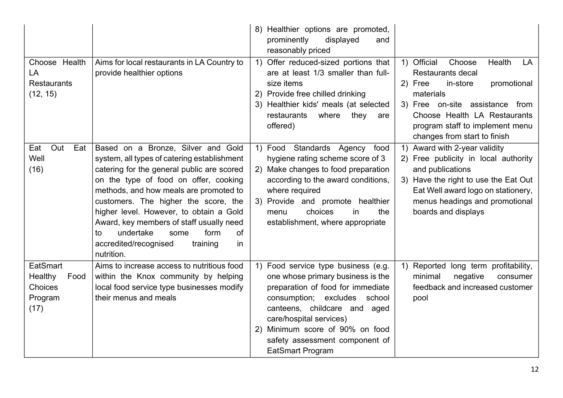|                                                           |                                                                                                                                                                                                                                                                                                                                                                                                                                                     | 8) Healthier options are promoted,<br>prominently<br>displayed<br>and<br>reasonably priced                                                                                                                                                                                                                     |                                                                                                                                                                                                                                                            |
|-----------------------------------------------------------|-----------------------------------------------------------------------------------------------------------------------------------------------------------------------------------------------------------------------------------------------------------------------------------------------------------------------------------------------------------------------------------------------------------------------------------------------------|----------------------------------------------------------------------------------------------------------------------------------------------------------------------------------------------------------------------------------------------------------------------------------------------------------------|------------------------------------------------------------------------------------------------------------------------------------------------------------------------------------------------------------------------------------------------------------|
| Choose Health<br>LA<br><b>Restaurants</b><br>(12, 15)     | Aims for local restaurants in LA Country to<br>provide healthier options                                                                                                                                                                                                                                                                                                                                                                            | Offer reduced-sized portions that<br>$\left( \begin{matrix} 1 \end{matrix} \right)$<br>are at least 1/3 smaller than full-<br>size items<br>2) Provide free chilled drinking<br>3) Healthier kids' meals (at selected<br>restaurants<br>where<br>they<br>are<br>offered)                                       | 1) Official<br>Health<br>Choose<br>LA<br><b>Restaurants decal</b><br>2) Free<br>in-store<br>promotional<br>materials<br>3) Free on-site assistance from<br>Choose Health LA Restaurants<br>program staff to implement menu<br>changes from start to finish |
| Eat<br>Out<br>Eat<br>Well<br>(16)                         | Based on a Bronze, Silver and Gold<br>system, all types of catering establishment<br>catering for the general public are scored<br>on the type of food on offer, cooking<br>methods, and how meals are promoted to<br>customers. The higher the score, the<br>higher level. However, to obtain a Gold<br>Award, key members of staff usually need<br>undertake<br>form<br>of<br>some<br>to<br>accredited/recognised<br>training<br>in<br>nutrition. | 1) Food Standards Agency<br>food<br>hygiene rating scheme score of 3<br>2) Make changes to food preparation<br>according to the award conditions,<br>where required<br>3) Provide and promote healthier<br>choices<br>the<br>menu<br>in<br>establishment, where appropriate                                    | 1) Award with 2-year validity<br>2) Free publicity in local authority<br>and publications<br>3) Have the right to use the Eat Out<br>Eat Well award logo on stationery,<br>menus headings and promotional<br>boards and displays                           |
| EatSmart<br>Healthy<br>Food<br>Choices<br>Program<br>(17) | Aims to increase access to nutritious food<br>within the Knox community by helping<br>local food service type businesses modify<br>their menus and meals                                                                                                                                                                                                                                                                                            | 1) Food service type business (e.g.<br>one whose primary business is the<br>preparation of food for immediate<br>consumption; excludes school<br>canteens, childcare and<br>aged<br>care/hospital services)<br>Minimum score of 90% on food<br>2)<br>safety assessment component of<br><b>EatSmart Program</b> | Reported long term profitability,<br>1)<br>minimal<br>negative<br>consumer<br>feedback and increased customer<br>pool                                                                                                                                      |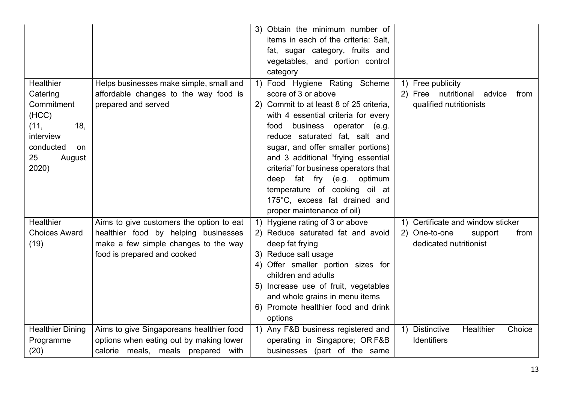|                                                                                                                                 |                                                                                                                                                         | 3) Obtain the minimum number of<br>items in each of the criteria: Salt,<br>fat, sugar category, fruits and<br>vegetables, and portion control<br>category                                                                                                                                                                                                                                                                                                         |                                                                                                 |
|---------------------------------------------------------------------------------------------------------------------------------|---------------------------------------------------------------------------------------------------------------------------------------------------------|-------------------------------------------------------------------------------------------------------------------------------------------------------------------------------------------------------------------------------------------------------------------------------------------------------------------------------------------------------------------------------------------------------------------------------------------------------------------|-------------------------------------------------------------------------------------------------|
| Healthier<br>Catering<br>Commitment<br>(HCC)<br>(11,<br>18,<br>interview<br>conducted<br><sub>on</sub><br>25<br>August<br>2020) | Helps businesses make simple, small and<br>affordable changes to the way food is<br>prepared and served                                                 | 1) Food Hygiene Rating Scheme<br>score of 3 or above<br>2) Commit to at least 8 of 25 criteria,<br>with 4 essential criteria for every<br>business operator<br>food<br>e.g.)<br>reduce saturated fat, salt and<br>sugar, and offer smaller portions)<br>and 3 additional "frying essential<br>criteria" for business operators that<br>deep fat fry (e.g. optimum<br>temperature of cooking oil at<br>175°C, excess fat drained and<br>proper maintenance of oil) | 1) Free publicity<br>2) Free nutritional<br>advice<br>from<br>qualified nutritionists           |
| Healthier<br><b>Choices Award</b><br>(19)                                                                                       | Aims to give customers the option to eat<br>healthier food by helping businesses<br>make a few simple changes to the way<br>food is prepared and cooked | 1) Hygiene rating of 3 or above<br>2) Reduce saturated fat and avoid<br>deep fat frying<br>3) Reduce salt usage<br>4) Offer smaller portion sizes for<br>children and adults<br>5) Increase use of fruit, vegetables<br>and whole grains in menu items<br>6) Promote healthier food and drink<br>options                                                                                                                                                          | 1) Certificate and window sticker<br>2) One-to-one<br>support<br>from<br>dedicated nutritionist |
| <b>Healthier Dining</b><br>Programme<br>(20)                                                                                    | Aims to give Singaporeans healthier food<br>options when eating out by making lower<br>calorie meals, meals prepared with                               | 1) Any F&B business registered and<br>operating in Singapore; OR F&B<br>businesses (part of the same                                                                                                                                                                                                                                                                                                                                                              | <b>Distinctive</b><br>Healthier<br>Choice<br>1)<br>Identifiers                                  |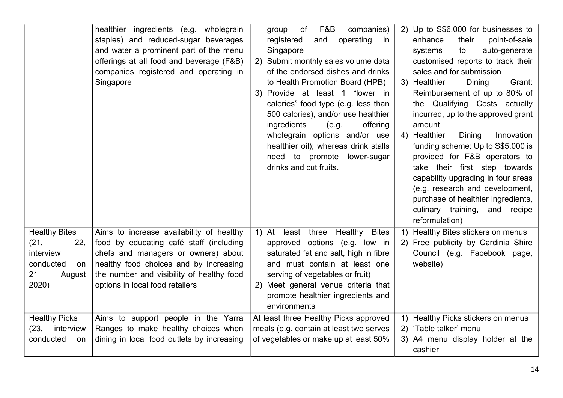|                                                                                              | healthier ingredients (e.g. wholegrain<br>staples) and reduced-sugar beverages<br>and water a prominent part of the menu<br>offerings at all food and beverage (F&B)<br>companies registered and operating in<br>Singapore                           | F&B<br>companies)<br>group<br>of<br>registered<br>operating<br>and<br>in<br>Singapore<br>2) Submit monthly sales volume data<br>of the endorsed dishes and drinks<br>to Health Promotion Board (HPB)<br>3) Provide at least 1 "lower in<br>calories" food type (e.g. less than<br>500 calories), and/or use healthier<br>ingredients<br>offering<br>(e.g.<br>wholegrain options and/or use<br>healthier oil); whereas drink stalls<br>need to promote<br>lower-sugar<br>drinks and cut fruits. | 2) Up to S\$6,000 for businesses to<br>point-of-sale<br>enhance<br>their<br>systems<br>to<br>auto-generate<br>customised reports to track their<br>sales and for submission<br>3) Healthier<br>Grant:<br>Dining<br>Reimbursement of up to 80% of<br>the Qualifying Costs actually<br>incurred, up to the approved grant<br>amount<br>4) Healthier<br>Dining<br>Innovation<br>funding scheme: Up to S\$5,000 is<br>provided for F&B operators to<br>take their first step towards<br>capability upgrading in four areas<br>(e.g. research and development,<br>purchase of healthier ingredients,<br>culinary training, and recipe<br>reformulation) |
|----------------------------------------------------------------------------------------------|------------------------------------------------------------------------------------------------------------------------------------------------------------------------------------------------------------------------------------------------------|------------------------------------------------------------------------------------------------------------------------------------------------------------------------------------------------------------------------------------------------------------------------------------------------------------------------------------------------------------------------------------------------------------------------------------------------------------------------------------------------|----------------------------------------------------------------------------------------------------------------------------------------------------------------------------------------------------------------------------------------------------------------------------------------------------------------------------------------------------------------------------------------------------------------------------------------------------------------------------------------------------------------------------------------------------------------------------------------------------------------------------------------------------|
| <b>Healthy Bites</b><br>22,<br>(21,<br>interview<br>conducted<br>on<br>21<br>August<br>2020) | Aims to increase availability of healthy<br>food by educating café staff (including<br>chefs and managers or owners) about<br>healthy food choices and by increasing<br>the number and visibility of healthy food<br>options in local food retailers | least three Healthy<br><b>Bites</b><br>1) At<br>approved options (e.g. low in<br>saturated fat and salt, high in fibre<br>and must contain at least one<br>serving of vegetables or fruit)<br>2) Meet general venue criteria that<br>promote healthier ingredients and<br>environments                                                                                                                                                                                                         | Healthy Bites stickers on menus<br>$\left( \begin{matrix} 1 \end{matrix} \right)$<br>2) Free publicity by Cardinia Shire<br>Council (e.g. Facebook page,<br>website)                                                                                                                                                                                                                                                                                                                                                                                                                                                                               |
| <b>Healthy Picks</b><br>(23,<br>interview<br>conducted<br>on                                 | Aims to support people in the Yarra<br>Ranges to make healthy choices when<br>dining in local food outlets by increasing                                                                                                                             | At least three Healthy Picks approved<br>meals (e.g. contain at least two serves<br>of vegetables or make up at least 50%                                                                                                                                                                                                                                                                                                                                                                      | 1) Healthy Picks stickers on menus<br>2) 'Table talker' menu<br>3) A4 menu display holder at the<br>cashier                                                                                                                                                                                                                                                                                                                                                                                                                                                                                                                                        |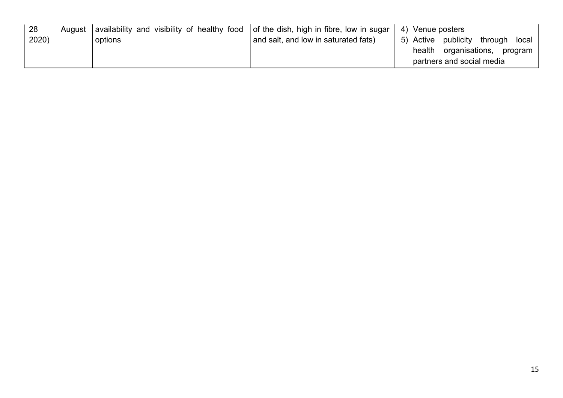| -28   | August | availability and visibility of healthy food   of the dish, high in fibre, low in sugar |                                      | 4) Venue posters                  |
|-------|--------|----------------------------------------------------------------------------------------|--------------------------------------|-----------------------------------|
| 2020) |        | options                                                                                | and salt, and low in saturated fats) | 5) Active publicity through local |
|       |        |                                                                                        |                                      | health organisations,<br>program  |
|       |        |                                                                                        |                                      | partners and social media         |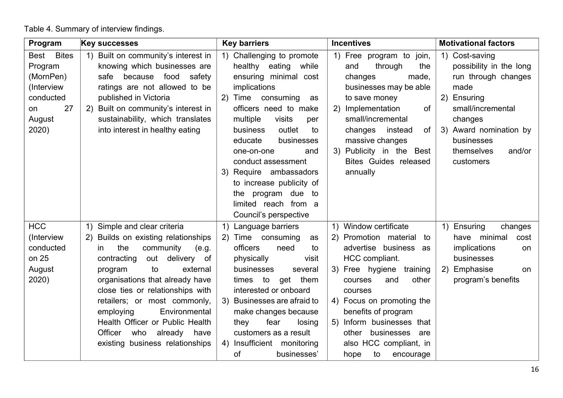Table 4. Summary of interview findings.

| Program              | <b>Key successes</b>                   | <b>Key barriers</b>                                                      | <b>Incentives</b>               | <b>Motivational factors</b> |
|----------------------|----------------------------------------|--------------------------------------------------------------------------|---------------------------------|-----------------------------|
| <b>Bites</b><br>Best | 1) Built on community's interest in    | Challenging to promote<br>$\left( \begin{matrix} 1 \end{matrix} \right)$ | 1) Free program to join,        | 1) Cost-saving              |
| Program              | knowing which businesses are           | healthy eating<br>while                                                  | and<br>through<br>the           | possibility in the long     |
| (MornPen)            | because<br>food<br>safety<br>safe      | ensuring minimal cost                                                    | changes<br>made,                | run through changes         |
| (Interview           | ratings are not allowed to be          | implications                                                             | businesses may be able          | made                        |
| conducted            | published in Victoria                  | 2)<br>Time<br>consuming<br>as                                            | to save money                   | 2)<br>Ensuring              |
| 27<br>on             | Built on community's interest in<br>2) | officers need to make                                                    | Implementation<br>of<br>2)      | small/incremental           |
| August               | sustainability, which translates       | multiple<br>visits<br>per                                                | small/incremental               | changes                     |
| 2020)                | into interest in healthy eating        | outlet<br>business<br>to                                                 | changes<br>instead<br>of        | 3) Award nomination by      |
|                      |                                        | educate<br>businesses                                                    | massive changes                 | businesses                  |
|                      |                                        | one-on-one<br>and                                                        | Publicity in the Best<br>3)     | themselves<br>and/or        |
|                      |                                        | conduct assessment                                                       | <b>Bites Guides released</b>    | customers                   |
|                      |                                        | Require ambassadors<br>3)                                                | annually                        |                             |
|                      |                                        | to increase publicity of                                                 |                                 |                             |
|                      |                                        | the program due to                                                       |                                 |                             |
|                      |                                        | limited reach from a                                                     |                                 |                             |
|                      |                                        | Council's perspective                                                    |                                 |                             |
| <b>HCC</b>           | Simple and clear criteria<br>1)        | Language barriers<br>1)                                                  | Window certificate<br>1)        | Ensuring<br>1)<br>changes   |
| (Interview           | Builds on existing relationships       | Time<br>consuming<br>2)<br>as                                            | Promotion material<br>(2)<br>to | have<br>minimal<br>cost     |
| conducted            | the<br>community<br>(e.g.<br>in.       | officers<br>need<br>to                                                   | advertise business as           | implications<br>on          |
| on 25                | delivery<br>contracting<br>out<br>of   | physically<br>visit                                                      | HCC compliant.                  | businesses                  |
| August               | to<br>external<br>program              | businesses<br>several                                                    | 3) Free hygiene<br>training     | 2) Emphasise<br>on.         |
| 2020)                | organisations that already have        | times to<br>get<br>them                                                  | other<br>and<br>courses         | program's benefits          |
|                      | close ties or relationships with       | interested or onboard                                                    | courses                         |                             |
|                      | retailers; or most commonly,           | 3) Businesses are afraid to                                              | 4) Focus on promoting the       |                             |
|                      | Environmental<br>employing             | make changes because                                                     | benefits of program             |                             |
|                      | Health Officer or Public Health        | fear<br>they<br>losing                                                   | Inform businesses that<br>5)    |                             |
|                      | Officer<br>who<br>already<br>have      | customers as a result                                                    | businesses are<br>other         |                             |
|                      | existing business relationships        | Insufficient monitoring<br>4)                                            | also HCC compliant, in          |                             |
|                      |                                        | businesses'<br>of                                                        | hope<br>to<br>encourage         |                             |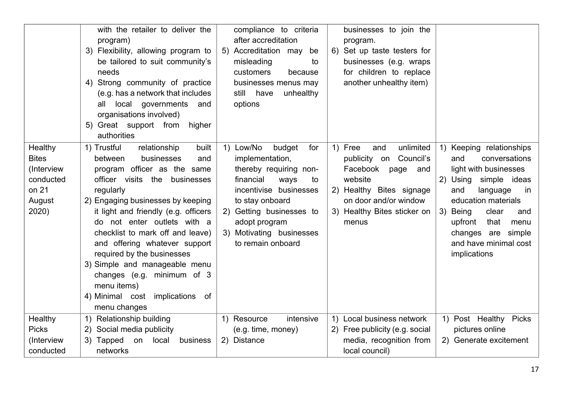|                                                                                | with the retailer to deliver the<br>program)<br>3) Flexibility, allowing program to<br>be tailored to suit community's<br>needs<br>4) Strong community of practice<br>(e.g. has a network that includes<br>local governments<br>all<br>and<br>organisations involved)<br>5) Great support from<br>higher<br>authorities                                                                                                                                                                           | compliance to criteria<br>after accreditation<br>Accreditation may<br>be<br>5)<br>misleading<br>to<br>customers<br>because<br>businesses menus may<br>still have<br>unhealthy<br>options                                                      | businesses to join the<br>program.<br>Set up taste testers for<br>6)<br>businesses (e.g. wraps<br>for children to replace<br>another unhealthy item)                                        |                                                                                                                                                                                                                                                                             |
|--------------------------------------------------------------------------------|---------------------------------------------------------------------------------------------------------------------------------------------------------------------------------------------------------------------------------------------------------------------------------------------------------------------------------------------------------------------------------------------------------------------------------------------------------------------------------------------------|-----------------------------------------------------------------------------------------------------------------------------------------------------------------------------------------------------------------------------------------------|---------------------------------------------------------------------------------------------------------------------------------------------------------------------------------------------|-----------------------------------------------------------------------------------------------------------------------------------------------------------------------------------------------------------------------------------------------------------------------------|
| Healthy<br><b>Bites</b><br>(Interview<br>conducted<br>on 21<br>August<br>2020) | 1) Trustful<br>relationship<br>built<br>between<br>businesses<br>and<br>program officer as the same<br>officer visits the businesses<br>regularly<br>2) Engaging businesses by keeping<br>it light and friendly (e.g. officers<br>do not enter outlets with a<br>checklist to mark off and leave)<br>and offering whatever support<br>required by the businesses<br>3) Simple and manageable menu<br>changes (e.g. minimum of 3<br>menu items)<br>4) Minimal cost implications of<br>menu changes | 1) Low/No<br>budget<br>for<br>implementation,<br>thereby requiring non-<br>financial<br>ways<br>to<br>incentivise businesses<br>to stay onboard<br>2) Getting businesses to<br>adopt program<br>3) Motivating businesses<br>to remain onboard | 1) Free<br>unlimited<br>and<br>Council's<br>publicity on<br>Facebook<br>page<br>and<br>website<br>2) Healthy Bites signage<br>on door and/or window<br>3) Healthy Bites sticker on<br>menus | 1) Keeping relationships<br>and<br>conversations<br>light with businesses<br>2) Using<br>simple ideas<br>and<br>language<br>in<br>education materials<br>3) Being<br>clear<br>and<br>upfront<br>that<br>menu<br>changes are simple<br>and have minimal cost<br>implications |
| Healthy<br><b>Picks</b><br>(Interview<br>conducted                             | 1) Relationship building<br>Social media publicity<br>2)<br>3) Tapped<br>on<br>local<br>business<br>networks                                                                                                                                                                                                                                                                                                                                                                                      | intensive<br>1) Resource<br>(e.g. time, money)<br>2) Distance                                                                                                                                                                                 | Local business network<br>$\left( \begin{matrix} 1 \end{matrix} \right)$<br>2) Free publicity (e.g. social<br>media, recognition from<br>local council)                                     | 1) Post Healthy Picks<br>pictures online<br>2) Generate excitement                                                                                                                                                                                                          |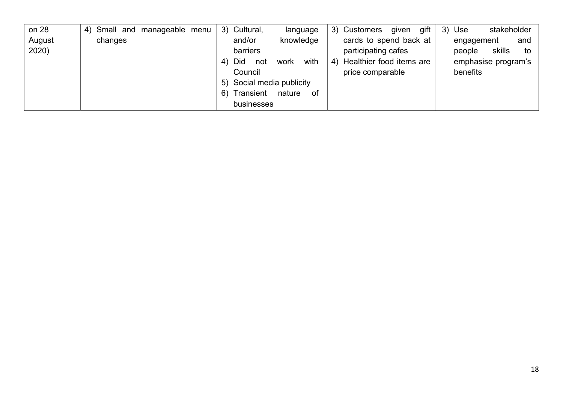| on 28  | 4) Small and manageable menu | 3) Cultural,<br>language         | 3) Customers<br>gift<br>given  | stakeholder<br>3)<br>Use |
|--------|------------------------------|----------------------------------|--------------------------------|--------------------------|
| August | changes                      | and/or<br>knowledge              | cards to spend back at         | and<br>engagement        |
| 2020)  |                              | barriers                         | participating cafes            | skills<br>people<br>to   |
|        |                              | with<br>Did<br>work<br>not<br>4) | Healthier food items are<br>4) | emphasise program's      |
|        |                              | Council                          | price comparable               | benefits                 |
|        |                              | 5) Social media publicity        |                                |                          |
|        |                              | Transient<br>nature<br>6)<br>0f  |                                |                          |
|        |                              | businesses                       |                                |                          |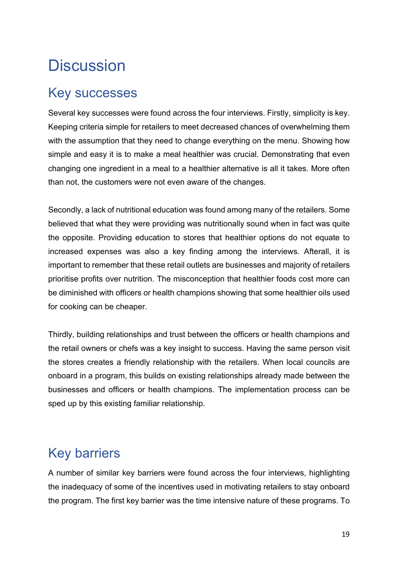### **Discussion**

#### Key successes

Several key successes were found across the four interviews. Firstly, simplicity is key. Keeping criteria simple for retailers to meet decreased chances of overwhelming them with the assumption that they need to change everything on the menu. Showing how simple and easy it is to make a meal healthier was crucial. Demonstrating that even changing one ingredient in a meal to a healthier alternative is all it takes. More often than not, the customers were not even aware of the changes.

Secondly, a lack of nutritional education was found among many of the retailers. Some believed that what they were providing was nutritionally sound when in fact was quite the opposite. Providing education to stores that healthier options do not equate to increased expenses was also a key finding among the interviews. Afterall, it is important to remember that these retail outlets are businesses and majority of retailers prioritise profits over nutrition. The misconception that healthier foods cost more can be diminished with officers or health champions showing that some healthier oils used for cooking can be cheaper.

Thirdly, building relationships and trust between the officers or health champions and the retail owners or chefs was a key insight to success. Having the same person visit the stores creates a friendly relationship with the retailers. When local councils are onboard in a program, this builds on existing relationships already made between the businesses and officers or health champions. The implementation process can be sped up by this existing familiar relationship.

#### Key barriers

A number of similar key barriers were found across the four interviews, highlighting the inadequacy of some of the incentives used in motivating retailers to stay onboard the program. The first key barrier was the time intensive nature of these programs. To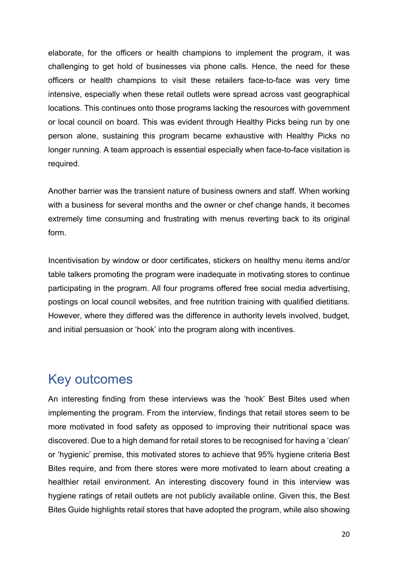elaborate, for the officers or health champions to implement the program, it was challenging to get hold of businesses via phone calls. Hence, the need for these officers or health champions to visit these retailers face-to-face was very time intensive, especially when these retail outlets were spread across vast geographical locations. This continues onto those programs lacking the resources with government or local council on board. This was evident through Healthy Picks being run by one person alone, sustaining this program became exhaustive with Healthy Picks no longer running. A team approach is essential especially when face-to-face visitation is required.

Another barrier was the transient nature of business owners and staff. When working with a business for several months and the owner or chef change hands, it becomes extremely time consuming and frustrating with menus reverting back to its original form.

Incentivisation by window or door certificates, stickers on healthy menu items and/or table talkers promoting the program were inadequate in motivating stores to continue participating in the program. All four programs offered free social media advertising, postings on local council websites, and free nutrition training with qualified dietitians. However, where they differed was the difference in authority levels involved, budget, and initial persuasion or 'hook' into the program along with incentives.

#### Key outcomes

An interesting finding from these interviews was the 'hook' Best Bites used when implementing the program. From the interview, findings that retail stores seem to be more motivated in food safety as opposed to improving their nutritional space was discovered. Due to a high demand for retail stores to be recognised for having a 'clean' or 'hygienic' premise, this motivated stores to achieve that 95% hygiene criteria Best Bites require, and from there stores were more motivated to learn about creating a healthier retail environment. An interesting discovery found in this interview was hygiene ratings of retail outlets are not publicly available online. Given this, the Best Bites Guide highlights retail stores that have adopted the program, while also showing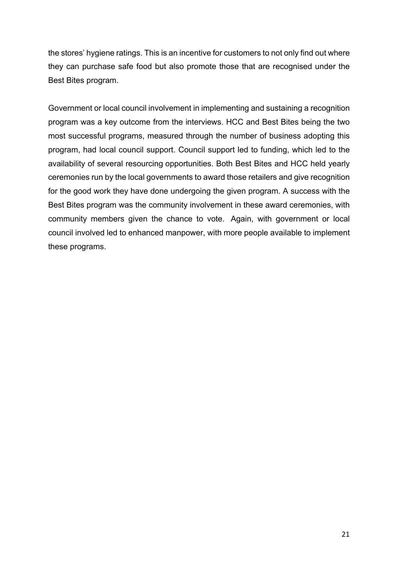the stores' hygiene ratings. This is an incentive for customers to not only find out where they can purchase safe food but also promote those that are recognised under the Best Bites program.

Government or local council involvement in implementing and sustaining a recognition program was a key outcome from the interviews. HCC and Best Bites being the two most successful programs, measured through the number of business adopting this program, had local council support. Council support led to funding, which led to the availability of several resourcing opportunities. Both Best Bites and HCC held yearly ceremonies run by the local governments to award those retailers and give recognition for the good work they have done undergoing the given program. A success with the Best Bites program was the community involvement in these award ceremonies, with community members given the chance to vote. Again, with government or local council involved led to enhanced manpower, with more people available to implement these programs.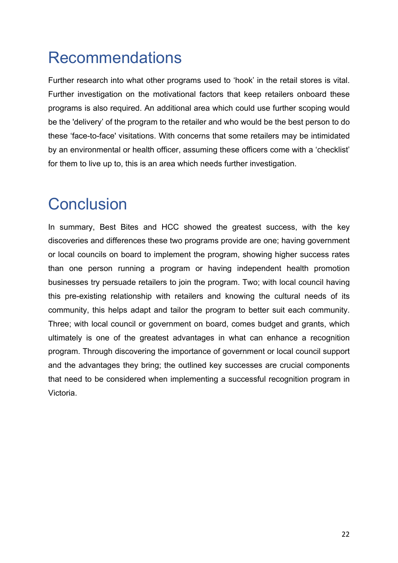## Recommendations

Further research into what other programs used to 'hook' in the retail stores is vital. Further investigation on the motivational factors that keep retailers onboard these programs is also required. An additional area which could use further scoping would be the 'delivery' of the program to the retailer and who would be the best person to do these 'face-to-face' visitations. With concerns that some retailers may be intimidated by an environmental or health officer, assuming these officers come with a 'checklist' for them to live up to, this is an area which needs further investigation.

### **Conclusion**

In summary, Best Bites and HCC showed the greatest success, with the key discoveries and differences these two programs provide are one; having government or local councils on board to implement the program, showing higher success rates than one person running a program or having independent health promotion businesses try persuade retailers to join the program. Two; with local council having this pre-existing relationship with retailers and knowing the cultural needs of its community, this helps adapt and tailor the program to better suit each community. Three; with local council or government on board, comes budget and grants, which ultimately is one of the greatest advantages in what can enhance a recognition program. Through discovering the importance of government or local council support and the advantages they bring; the outlined key successes are crucial components that need to be considered when implementing a successful recognition program in Victoria.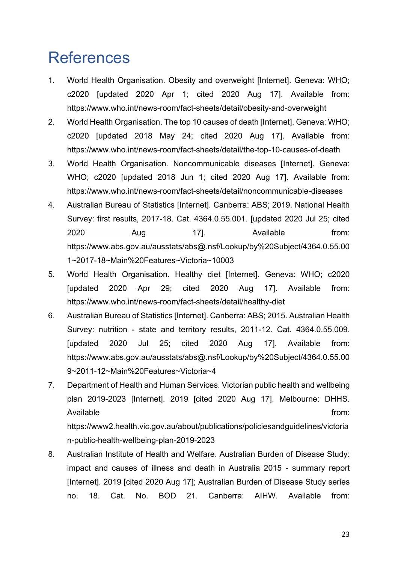### **References**

- 1. World Health Organisation. Obesity and overweight [Internet]. Geneva: WHO; c2020 [updated 2020 Apr 1; cited 2020 Aug 17]. Available from: https://www.who.int/news-room/fact-sheets/detail/obesity-and-overweight
- 2. World Health Organisation. The top 10 causes of death [Internet]. Geneva: WHO; c2020 [updated 2018 May 24; cited 2020 Aug 17]. Available from: https://www.who.int/news-room/fact-sheets/detail/the-top-10-causes-of-death
- 3. World Health Organisation. Noncommunicable diseases [Internet]. Geneva: WHO; c2020 [updated 2018 Jun 1; cited 2020 Aug 17]. Available from: https://www.who.int/news-room/fact-sheets/detail/noncommunicable-diseases
- 4. Australian Bureau of Statistics [Internet]. Canberra: ABS; 2019. National Health Survey: first results, 2017-18. Cat. 4364.0.55.001. [updated 2020 Jul 25; cited 2020 Aug 17]. Available from: https://www.abs.gov.au/ausstats/abs@.nsf/Lookup/by%20Subject/4364.0.55.00 1~2017-18~Main%20Features~Victoria~10003
- 5. World Health Organisation. Healthy diet [Internet]. Geneva: WHO; c2020 [updated 2020 Apr 29; cited 2020 Aug 17]. Available from: https://www.who.int/news-room/fact-sheets/detail/healthy-diet
- 6. Australian Bureau of Statistics [Internet]. Canberra: ABS; 2015. Australian Health Survey: nutrition - state and territory results, 2011-12. Cat. 4364.0.55.009. [updated 2020 Jul 25; cited 2020 Aug 17]. Available from: https://www.abs.gov.au/ausstats/abs@.nsf/Lookup/by%20Subject/4364.0.55.00 9~2011-12~Main%20Features~Victoria~4
- 7. Department of Health and Human Services. Victorian public health and wellbeing plan 2019-2023 [Internet]. 2019 [cited 2020 Aug 17]. Melbourne: DHHS. Available from: the from: the from: the from: the from: the from: the from: the from: the from: the from: the from: the from: the from: the from: the from: the from: the from: the from: the from: the from: the from: the fr https://www2.health.vic.gov.au/about/publications/policiesandguidelines/victoria n-public-health-wellbeing-plan-2019-2023
- 8. Australian Institute of Health and Welfare. Australian Burden of Disease Study: impact and causes of illness and death in Australia 2015 - summary report [Internet]. 2019 [cited 2020 Aug 17]; Australian Burden of Disease Study series no. 18. Cat. No. BOD 21. Canberra: AIHW. Available from: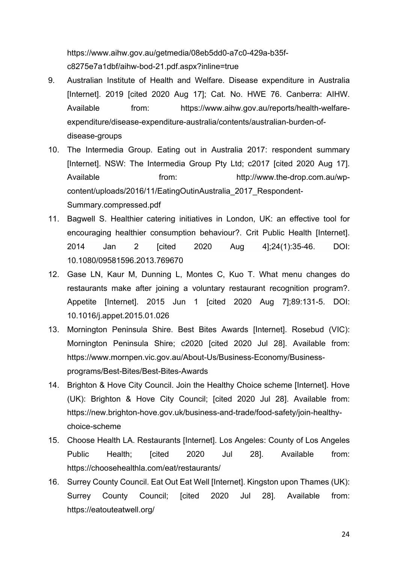https://www.aihw.gov.au/getmedia/08eb5dd0-a7c0-429a-b35fc8275e7a1dbf/aihw-bod-21.pdf.aspx?inline=true

- 9. Australian Institute of Health and Welfare. Disease expenditure in Australia [Internet]. 2019 [cited 2020 Aug 17]; Cat. No. HWE 76. Canberra: AIHW. Available from: https://www.aihw.gov.au/reports/health-welfareexpenditure/disease-expenditure-australia/contents/australian-burden-ofdisease-groups
- 10. The Intermedia Group. Eating out in Australia 2017: respondent summary [Internet]. NSW: The Intermedia Group Pty Ltd; c2017 [cited 2020 Aug 17]. Available from: http://www.the-drop.com.au/wpcontent/uploads/2016/11/EatingOutinAustralia\_2017\_Respondent-Summary.compressed.pdf
- 11. Bagwell S. Healthier catering initiatives in London, UK: an effective tool for encouraging healthier consumption behaviour?. Crit Public Health [Internet]. 2014 Jan 2 [cited 2020 Aug 4];24(1):35-46. DOI: 10.1080/09581596.2013.769670
- 12. Gase LN, Kaur M, Dunning L, Montes C, Kuo T. What menu changes do restaurants make after joining a voluntary restaurant recognition program?. Appetite [Internet]. 2015 Jun 1 [cited 2020 Aug 7];89:131-5. DOI: 10.1016/j.appet.2015.01.026
- 13. Mornington Peninsula Shire. Best Bites Awards [Internet]. Rosebud (VIC): Mornington Peninsula Shire; c2020 [cited 2020 Jul 28]. Available from: https://www.mornpen.vic.gov.au/About-Us/Business-Economy/Businessprograms/Best-Bites/Best-Bites-Awards
- 14. Brighton & Hove City Council. Join the Healthy Choice scheme [Internet]. Hove (UK): Brighton & Hove City Council; [cited 2020 Jul 28]. Available from: https://new.brighton-hove.gov.uk/business-and-trade/food-safety/join-healthychoice-scheme
- 15. Choose Health LA. Restaurants [Internet]. Los Angeles: County of Los Angeles Public Health; [cited 2020 Jul 28]. Available from: https://choosehealthla.com/eat/restaurants/
- 16. Surrey County Council. Eat Out Eat Well [Internet]. Kingston upon Thames (UK): Surrey County Council; [cited 2020 Jul 28]. Available from: https://eatouteatwell.org/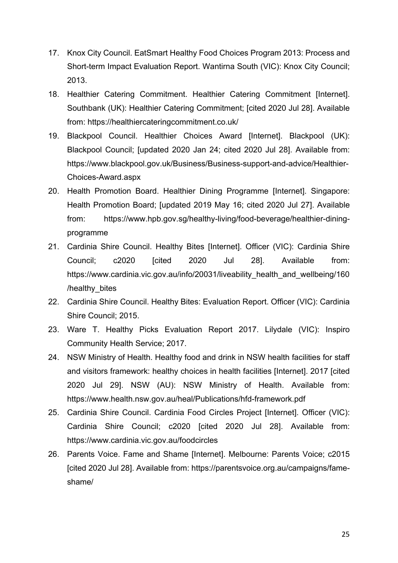- 17. Knox City Council. EatSmart Healthy Food Choices Program 2013: Process and Short-term Impact Evaluation Report. Wantirna South (VIC): Knox City Council; 2013.
- 18. Healthier Catering Commitment. Healthier Catering Commitment [Internet]. Southbank (UK): Healthier Catering Commitment; [cited 2020 Jul 28]. Available from: https://healthiercateringcommitment.co.uk/
- 19. Blackpool Council. Healthier Choices Award [Internet]. Blackpool (UK): Blackpool Council; [updated 2020 Jan 24; cited 2020 Jul 28]. Available from: https://www.blackpool.gov.uk/Business/Business-support-and-advice/Healthier-Choices-Award.aspx
- 20. Health Promotion Board. Healthier Dining Programme [Internet]. Singapore: Health Promotion Board; [updated 2019 May 16; cited 2020 Jul 27]. Available from: https://www.hpb.gov.sg/healthy-living/food-beverage/healthier-diningprogramme
- 21. Cardinia Shire Council. Healthy Bites [Internet]. Officer (VIC): Cardinia Shire Council; c2020 [cited 2020 Jul 28]. Available from: https://www.cardinia.vic.gov.au/info/20031/liveability\_health\_and\_wellbeing/160 /healthy\_bites
- 22. Cardinia Shire Council. Healthy Bites: Evaluation Report. Officer (VIC): Cardinia Shire Council; 2015.
- 23. Ware T. Healthy Picks Evaluation Report 2017. Lilydale (VIC): Inspiro Community Health Service; 2017.
- 24. NSW Ministry of Health. Healthy food and drink in NSW health facilities for staff and visitors framework: healthy choices in health facilities [Internet]. 2017 [cited 2020 Jul 29]. NSW (AU): NSW Ministry of Health. Available from: https://www.health.nsw.gov.au/heal/Publications/hfd-framework.pdf
- 25. Cardinia Shire Council. Cardinia Food Circles Project [Internet]. Officer (VIC): Cardinia Shire Council; c2020 [cited 2020 Jul 28]. Available from: https://www.cardinia.vic.gov.au/foodcircles
- 26. Parents Voice. Fame and Shame [Internet]. Melbourne: Parents Voice; c2015 [cited 2020 Jul 28]. Available from: https://parentsvoice.org.au/campaigns/fameshame/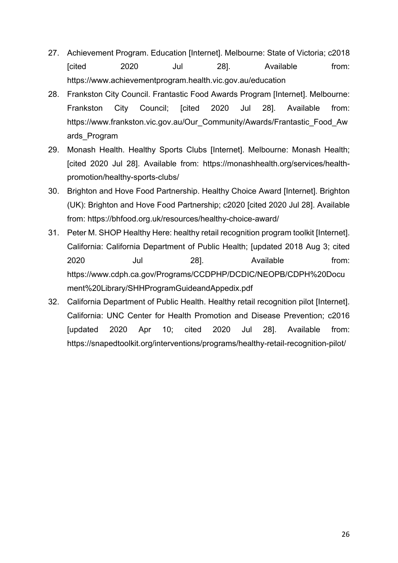- 27. Achievement Program. Education [Internet]. Melbourne: State of Victoria; c2018 [cited 2020 Jul 28]. Available from: https://www.achievementprogram.health.vic.gov.au/education
- 28. Frankston City Council. Frantastic Food Awards Program [Internet]. Melbourne: Frankston City Council; [cited 2020 Jul 28]. Available from: https://www.frankston.vic.gov.au/Our\_Community/Awards/Frantastic\_Food\_Aw ards\_Program
- 29. Monash Health. Healthy Sports Clubs [Internet]. Melbourne: Monash Health; [cited 2020 Jul 28]. Available from: https://monashhealth.org/services/healthpromotion/healthy-sports-clubs/
- 30. Brighton and Hove Food Partnership. Healthy Choice Award [Internet]. Brighton (UK): Brighton and Hove Food Partnership; c2020 [cited 2020 Jul 28]. Available from: https://bhfood.org.uk/resources/healthy-choice-award/
- 31. Peter M. SHOP Healthy Here: healthy retail recognition program toolkit [Internet]. California: California Department of Public Health; [updated 2018 Aug 3; cited 2020 Jul 28]. Available from: https://www.cdph.ca.gov/Programs/CCDPHP/DCDIC/NEOPB/CDPH%20Docu ment%20Library/SHHProgramGuideandAppedix.pdf
- 32. California Department of Public Health. Healthy retail recognition pilot [Internet]. California: UNC Center for Health Promotion and Disease Prevention; c2016 [updated 2020 Apr 10; cited 2020 Jul 28]. Available from: https://snapedtoolkit.org/interventions/programs/healthy-retail-recognition-pilot/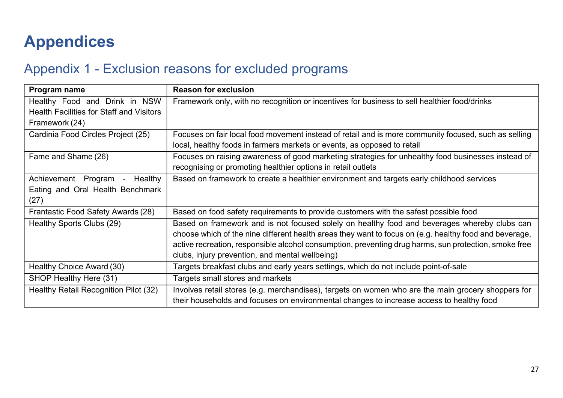# **Appendices**

#### Appendix 1 - Exclusion reasons for excluded programs

| Program name                                                                     | <b>Reason for exclusion</b>                                                                            |
|----------------------------------------------------------------------------------|--------------------------------------------------------------------------------------------------------|
| Healthy Food and Drink in NSW<br><b>Health Facilities for Staff and Visitors</b> | Framework only, with no recognition or incentives for business to sell healthier food/drinks           |
| Framework (24)                                                                   |                                                                                                        |
| Cardinia Food Circles Project (25)                                               | Focuses on fair local food movement instead of retail and is more community focused, such as selling   |
|                                                                                  | local, healthy foods in farmers markets or events, as opposed to retail                                |
| Fame and Shame (26)                                                              | Focuses on raising awareness of good marketing strategies for unhealthy food businesses instead of     |
|                                                                                  | recognising or promoting healthier options in retail outlets                                           |
| Achievement Program<br>Healthy<br>$\sim$                                         | Based on framework to create a healthier environment and targets early childhood services              |
| Eating and Oral Health Benchmark                                                 |                                                                                                        |
| (27)                                                                             |                                                                                                        |
| Frantastic Food Safety Awards (28)                                               | Based on food safety requirements to provide customers with the safest possible food                   |
| Healthy Sports Clubs (29)                                                        | Based on framework and is not focused solely on healthy food and beverages whereby clubs can           |
|                                                                                  | choose which of the nine different health areas they want to focus on (e.g. healthy food and beverage, |
|                                                                                  | active recreation, responsible alcohol consumption, preventing drug harms, sun protection, smoke free  |
|                                                                                  | clubs, injury prevention, and mental wellbeing)                                                        |
| Healthy Choice Award (30)                                                        | Targets breakfast clubs and early years settings, which do not include point-of-sale                   |
| SHOP Healthy Here (31)                                                           | Targets small stores and markets                                                                       |
| Healthy Retail Recognition Pilot (32)                                            | Involves retail stores (e.g. merchandises), targets on women who are the main grocery shoppers for     |
|                                                                                  | their households and focuses on environmental changes to increase access to healthy food               |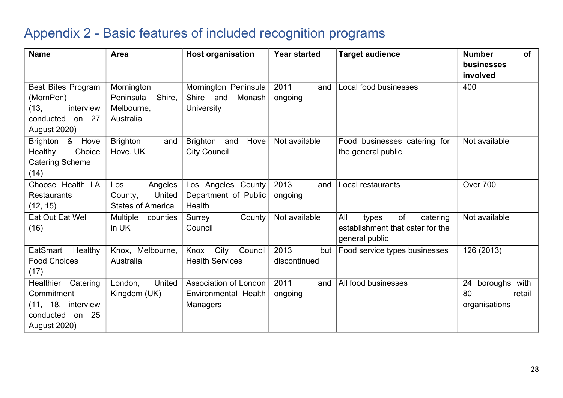#### Appendix 2 - Basic features of included recognition programs

| <b>Name</b>                             | Area                     | <b>Host organisation</b>       | <b>Year started</b> | <b>Target audience</b>                             | <b>Number</b><br><b>of</b><br>businesses |
|-----------------------------------------|--------------------------|--------------------------------|---------------------|----------------------------------------------------|------------------------------------------|
|                                         |                          |                                |                     |                                                    | involved                                 |
| <b>Best Bites Program</b>               | Mornington               | Mornington Peninsula           | 2011<br>and         | Local food businesses                              | 400                                      |
| (MornPen)                               | Peninsula<br>Shire,      | Shire and<br>Monash            | ongoing             |                                                    |                                          |
| (13,<br>interview<br>conducted<br>on 27 | Melbourne,<br>Australia  | <b>University</b>              |                     |                                                    |                                          |
| <b>August 2020)</b>                     |                          |                                |                     |                                                    |                                          |
| Brighton & Hove                         | <b>Brighton</b><br>and   | <b>Brighton</b><br>Hove<br>and | Not available       | Food businesses catering for                       | Not available                            |
| Healthy<br>Choice                       | Hove, UK                 | <b>City Council</b>            |                     | the general public                                 |                                          |
| <b>Catering Scheme</b><br>(14)          |                          |                                |                     |                                                    |                                          |
| Choose Health LA                        | Angeles<br>Los           | Los Angeles County             | 2013<br>and         | Local restaurants                                  | Over 700                                 |
| <b>Restaurants</b>                      | United<br>County,        | Department of Public           | ongoing             |                                                    |                                          |
| (12, 15)                                | <b>States of America</b> | Health                         |                     |                                                    |                                          |
| Eat Out Eat Well                        | Multiple<br>counties     | County<br>Surrey               | Not available       | All<br>of<br>catering<br>types                     | Not available                            |
| (16)                                    | in UK                    | Council                        |                     | establishment that cater for the<br>general public |                                          |
| EatSmart<br>Healthy                     | Knox, Melbourne,         | City<br>Council<br>Knox        | 2013<br>but         | Food service types businesses                      | 126 (2013)                               |
| <b>Food Choices</b>                     | Australia                | <b>Health Services</b>         | discontinued        |                                                    |                                          |
| (17)                                    |                          |                                |                     |                                                    |                                          |
| Healthier<br>Catering                   | United<br>London,        | Association of London          | 2011<br>and         | All food businesses                                | 24<br>boroughs with                      |
| Commitment                              | Kingdom (UK)             | Environmental Health           | ongoing             |                                                    | 80<br>retail                             |
| (11, 18, interview                      |                          | Managers                       |                     |                                                    | organisations                            |
| conducted<br>25<br>on                   |                          |                                |                     |                                                    |                                          |
| <b>August 2020)</b>                     |                          |                                |                     |                                                    |                                          |